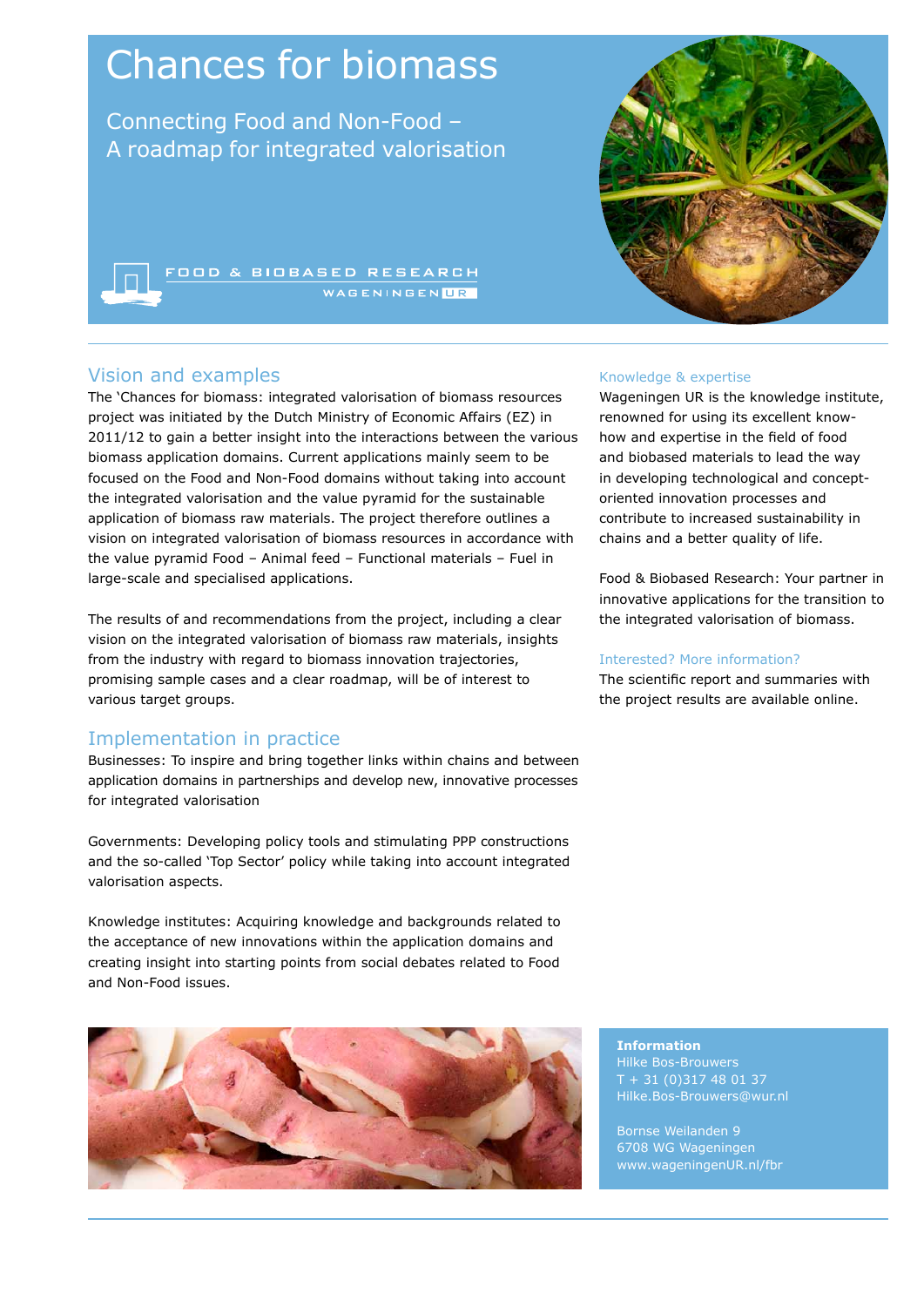# Chances for biomass

Connecting Food and Non-Food – A roadmap for integrated valorisation

**OOD & BIOBASED RESEARCH** 

## Vision and examples

The 'Chances for biomass: integrated valorisation of biomass resources project was initiated by the Dutch Ministry of Economic Affairs (EZ) in 2011/12 to gain a better insight into the interactions between the various biomass application domains. Current applications mainly seem to be focused on the Food and Non-Food domains without taking into account the integrated valorisation and the value pyramid for the sustainable application of biomass raw materials. The project therefore outlines a vision on integrated valorisation of biomass resources in accordance with the value pyramid Food – Animal feed – Functional materials – Fuel in large-scale and specialised applications.

The results of and recommendations from the project, including a clear vision on the integrated valorisation of biomass raw materials, insights from the industry with regard to biomass innovation trajectories, promising sample cases and a clear roadmap, will be of interest to various target groups.

# Implementation in practice

Businesses: To inspire and bring together links within chains and between application domains in partnerships and develop new, innovative processes for integrated valorisation

Governments: Developing policy tools and stimulating PPP constructions and the so-called 'Top Sector' policy while taking into account integrated valorisation aspects.

Knowledge institutes: Acquiring knowledge and backgrounds related to the acceptance of new innovations within the application domains and creating insight into starting points from social debates related to Food and Non-Food issues.



#### Knowledge & expertise

Wageningen UR is the knowledge institute, renowned for using its excellent knowhow and expertise in the field of food and biobased materials to lead the way in developing technological and conceptoriented innovation processes and contribute to increased sustainability in chains and a better quality of life.

Food & Biobased Research: Your partner in innovative applications for the transition to the integrated valorisation of biomass.

#### Interested? More information?

The scientific report and summaries with the project results are available online.

**Information** Hilke Bos-Brouwers + 31 (0) 317 48 01 37 Hilke.Bos-Brouwers@wur.nl

Bornse Weilanden 9 6708 WG Wageningen www.wageningenUR.nl/fbr